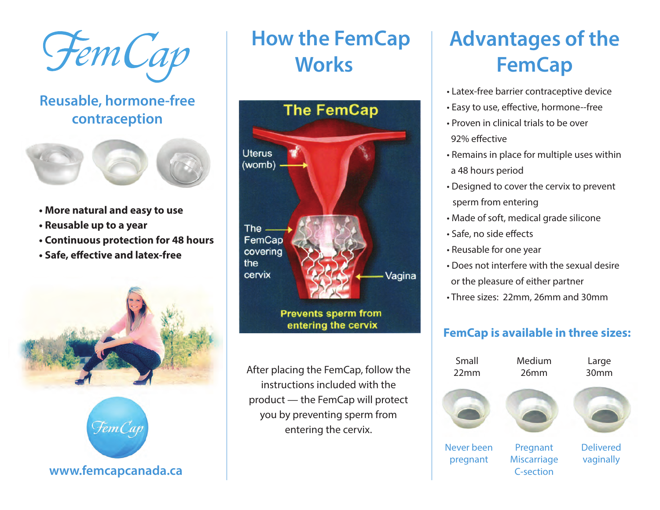Fem Cap

### **Reusable, hormone‐free contraception**



- **More natural and easy to use**
- **Reusable up to a year**
- **Continuous protection for 48 hours**
- Safe, effective and latex-free



**How the FemCap Works** 



**Prevents sperm from** entering the cervix

After placing the FemCap, follow the instructions included with the product — the FemCap will protect you by preventing sperm from entering the cervix.

# **Advantages of the FemCap**

- Latex‐free barrier contraceptive device
- Easy to use, effective, hormone--free
- Proven in clinical trials to be over 92% effective
- Remains in place for multiple uses within a 48 hours period
- Designed to cover the cervix to prevent sperm from entering
- Made of soft, medical grade silicone
- Safe, no side effects
- Reusable for one year
- Does not interfere with the sexual desire or the pleasure of either partner
- Three sizes: 22mm, 26mm and 30mm

### **FemCap is available in three sizes:**

| Small<br>22mm          | Medium<br>26mm                                     | Large<br>30mm                 |
|------------------------|----------------------------------------------------|-------------------------------|
|                        |                                                    |                               |
| Never been<br>pregnant | Pregnant<br><b>Miscarriage</b><br><b>C-section</b> | <b>Delivered</b><br>vaginally |

**www.femcapcanada.ca**